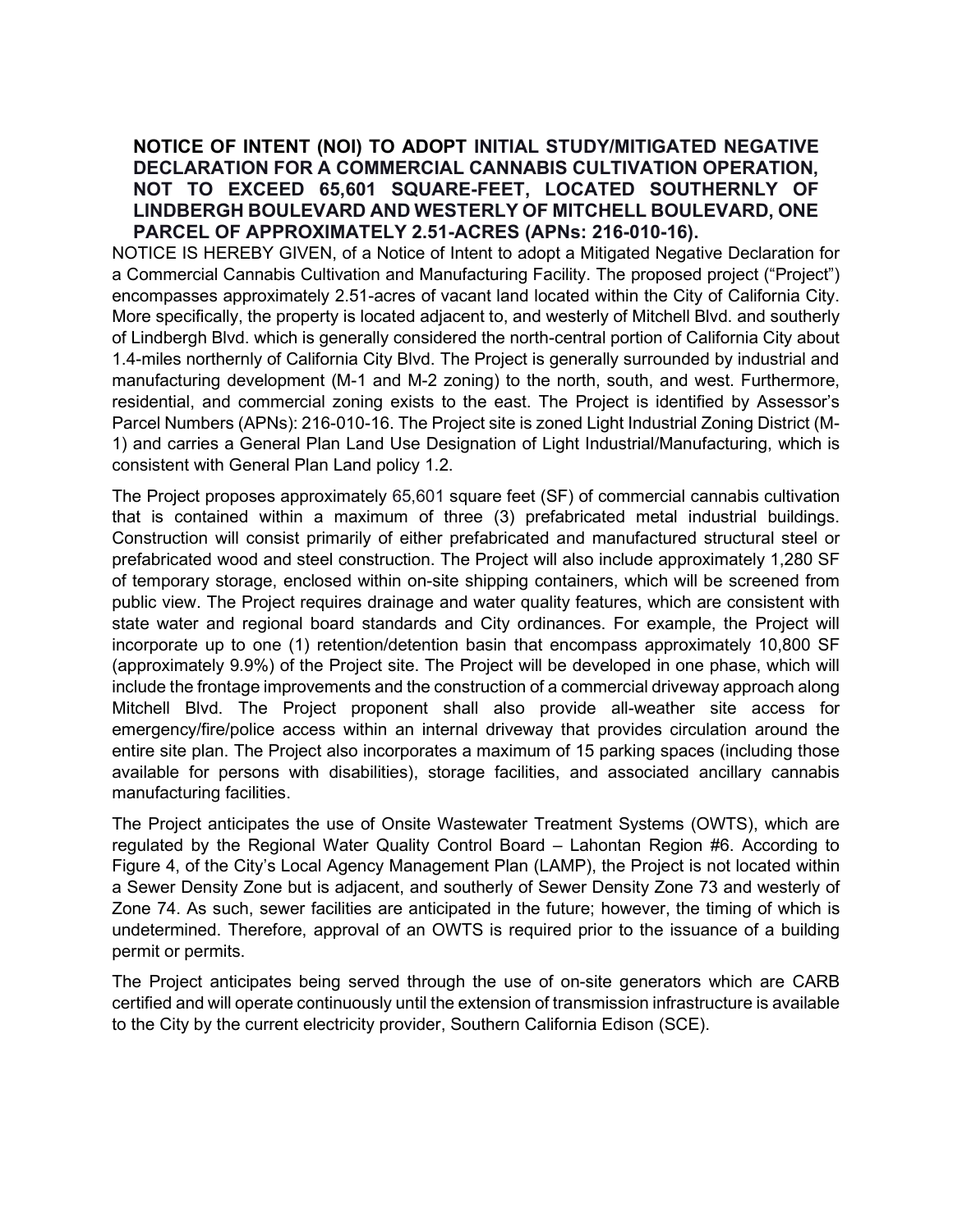## NOTICE OF INTENT (NOI) TO ADOPT INITIAL STUDY/MITIGATED NEGATIVE DECLARATION FOR A COMMERCIAL CANNABIS CULTIVATION OPERATION, NOT TO EXCEED 65,601 SQUARE-FEET, LOCATED SOUTHERNLY OF LINDBERGH BOULEVARD AND WESTERLY OF MITCHELL BOULEVARD, ONE PARCEL OF APPROXIMATELY 2.51-ACRES (APNs: 216-010-16).

NOTICE IS HEREBY GIVEN, of a Notice of Intent to adopt a Mitigated Negative Declaration for a Commercial Cannabis Cultivation and Manufacturing Facility. The proposed project ("Project") encompasses approximately 2.51-acres of vacant land located within the City of California City. More specifically, the property is located adjacent to, and westerly of Mitchell Blvd. and southerly of Lindbergh Blvd. which is generally considered the north-central portion of California City about 1.4-miles northernly of California City Blvd. The Project is generally surrounded by industrial and manufacturing development (M-1 and M-2 zoning) to the north, south, and west. Furthermore, residential, and commercial zoning exists to the east. The Project is identified by Assessor's Parcel Numbers (APNs): 216-010-16. The Project site is zoned Light Industrial Zoning District (M-1) and carries a General Plan Land Use Designation of Light Industrial/Manufacturing, which is consistent with General Plan Land policy 1.2.

The Project proposes approximately 65,601 square feet (SF) of commercial cannabis cultivation that is contained within a maximum of three (3) prefabricated metal industrial buildings. Construction will consist primarily of either prefabricated and manufactured structural steel or prefabricated wood and steel construction. The Project will also include approximately 1,280 SF of temporary storage, enclosed within on-site shipping containers, which will be screened from public view. The Project requires drainage and water quality features, which are consistent with state water and regional board standards and City ordinances. For example, the Project will incorporate up to one (1) retention/detention basin that encompass approximately 10,800 SF (approximately 9.9%) of the Project site. The Project will be developed in one phase, which will include the frontage improvements and the construction of a commercial driveway approach along Mitchell Blvd. The Project proponent shall also provide all-weather site access for emergency/fire/police access within an internal driveway that provides circulation around the entire site plan. The Project also incorporates a maximum of 15 parking spaces (including those available for persons with disabilities), storage facilities, and associated ancillary cannabis manufacturing facilities.

The Project anticipates the use of Onsite Wastewater Treatment Systems (OWTS), which are regulated by the Regional Water Quality Control Board – Lahontan Region #6. According to Figure 4, of the City's Local Agency Management Plan (LAMP), the Project is not located within a Sewer Density Zone but is adjacent, and southerly of Sewer Density Zone 73 and westerly of Zone 74. As such, sewer facilities are anticipated in the future; however, the timing of which is undetermined. Therefore, approval of an OWTS is required prior to the issuance of a building permit or permits.

The Project anticipates being served through the use of on-site generators which are CARB certified and will operate continuously until the extension of transmission infrastructure is available to the City by the current electricity provider, Southern California Edison (SCE).